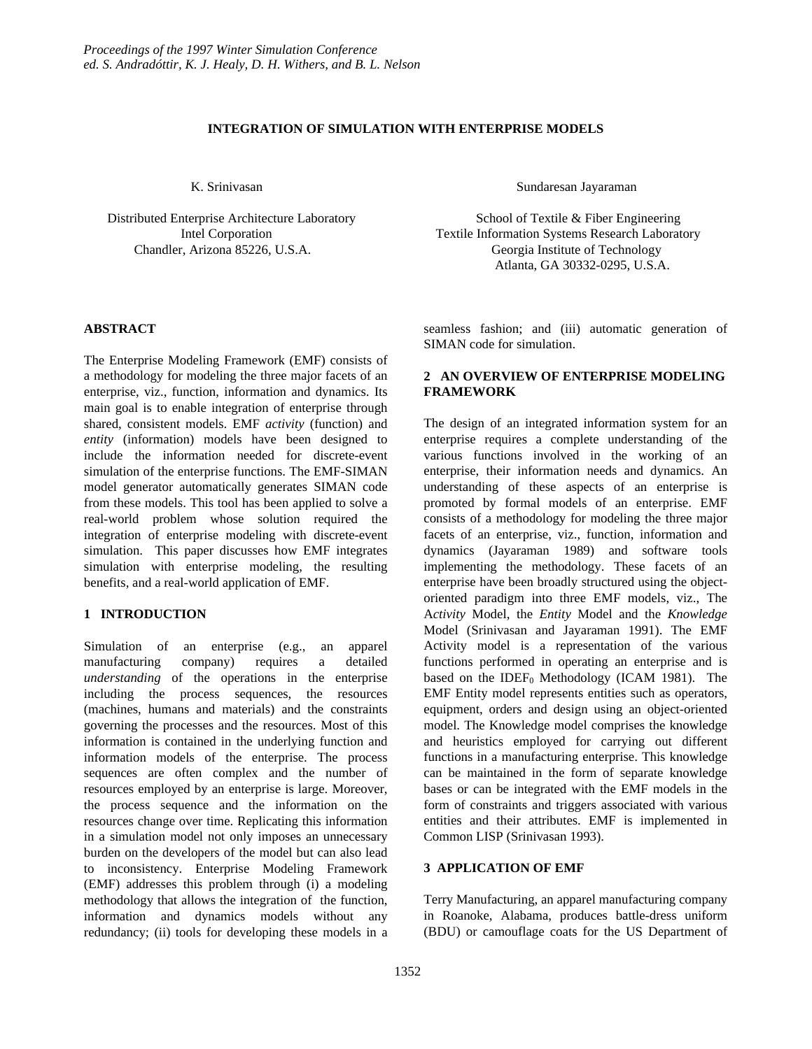#### **INTEGRATION OF SIMULATION WITH ENTERPRISE MODELS**

 Distributed Enterprise Architecture Laboratory School of Textile & Fiber Engineering Chandler, Arizona 85226, U.S.A. Georgia Institute of Technology

# **ABSTRACT**

The Enterprise Modeling Framework (EMF) consists of a methodology for modeling the three major facets of an enterprise, viz., function, information and dynamics. Its main goal is to enable integration of enterprise through shared, consistent models. EMF *activity* (function) and *entity* (information) models have been designed to include the information needed for discrete-event simulation of the enterprise functions. The EMF-SIMAN model generator automatically generates SIMAN code from these models. This tool has been applied to solve a real-world problem whose solution required the integration of enterprise modeling with discrete-event simulation. This paper discusses how EMF integrates simulation with enterprise modeling, the resulting benefits, and a real-world application of EMF.

# **1 INTRODUCTION**

Simulation of an enterprise (e.g., an apparel manufacturing company) requires a detailed *understanding* of the operations in the enterprise including the process sequences, the resources (machines, humans and materials) and the constraints governing the processes and the resources. Most of this information is contained in the underlying function and information models of the enterprise. The process sequences are often complex and the number of resources employed by an enterprise is large. Moreover, the process sequence and the information on the resources change over time. Replicating this information in a simulation model not only imposes an unnecessary burden on the developers of the model but can also lead to inconsistency. Enterprise Modeling Framework (EMF) addresses this problem through (i) a modeling methodology that allows the integration of the function, information and dynamics models without any redundancy; (ii) tools for developing these models in a

K. Srinivasan Sundaresan Jayaraman Sundaresan Jayaraman

 Intel Corporation Textile Information Systems Research Laboratory Atlanta, GA 30332-0295, U.S.A.

> seamless fashion; and (iii) automatic generation of SIMAN code for simulation.

# **2 AN OVERVIEW OF ENTERPRISE MODELING FRAMEWORK**

The design of an integrated information system for an enterprise requires a complete understanding of the various functions involved in the working of an enterprise, their information needs and dynamics. An understanding of these aspects of an enterprise is promoted by formal models of an enterprise. EMF consists of a methodology for modeling the three major facets of an enterprise, viz., function, information and dynamics (Jayaraman 1989) and software tools implementing the methodology. These facets of an enterprise have been broadly structured using the objectoriented paradigm into three EMF models, viz., The A*ctivity* Model, the *Entity* Model and the *Knowledge* Model (Srinivasan and Jayaraman 1991). The EMF Activity model is a representation of the various functions performed in operating an enterprise and is based on the IDEF<sub>0</sub> Methodology (ICAM 1981). The EMF Entity model represents entities such as operators, equipment, orders and design using an object-oriented model. The Knowledge model comprises the knowledge and heuristics employed for carrying out different functions in a manufacturing enterprise. This knowledge can be maintained in the form of separate knowledge bases or can be integrated with the EMF models in the form of constraints and triggers associated with various entities and their attributes. EMF is implemented in Common LISP (Srinivasan 1993).

# **3 APPLICATION OF EMF**

Terry Manufacturing, an apparel manufacturing company in Roanoke, Alabama, produces battle-dress uniform (BDU) or camouflage coats for the US Department of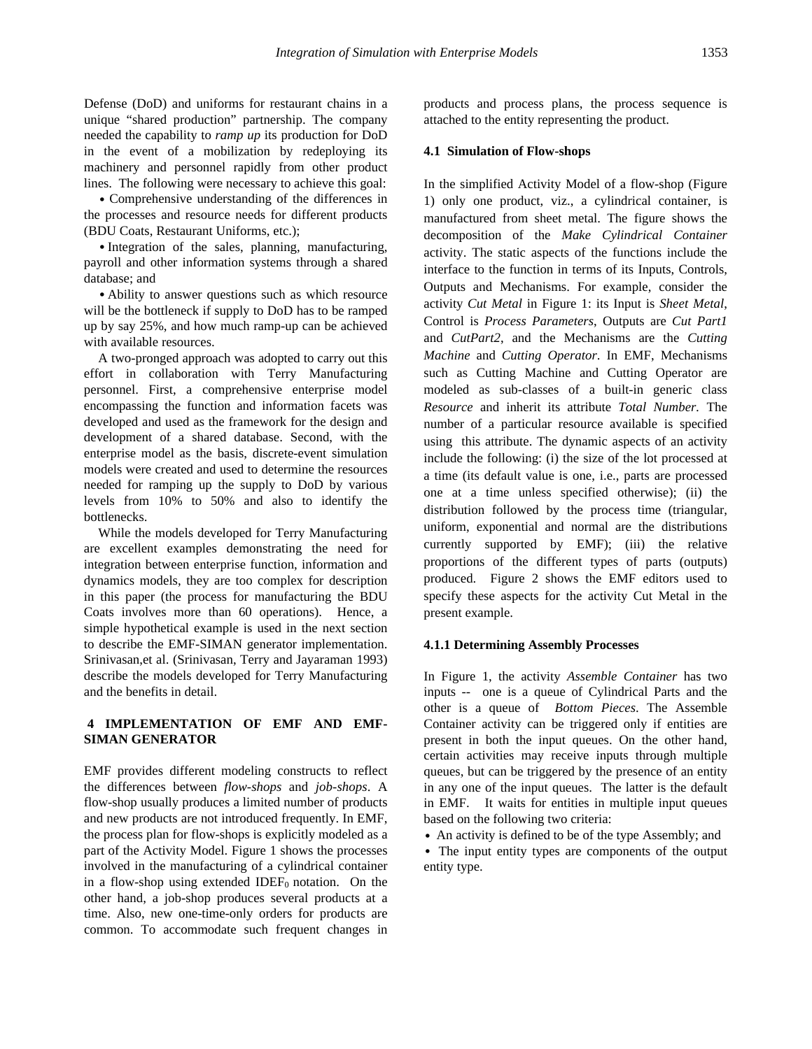Defense (DoD) and uniforms for restaurant chains in a unique "shared production" partnership. The company needed the capability to *ramp up* its production for DoD in the event of a mobilization by redeploying its machinery and personnel rapidly from other product lines. The following were necessary to achieve this goal:

• Comprehensive understanding of the differences in the processes and resource needs for different products (BDU Coats, Restaurant Uniforms, etc.);

• Integration of the sales, planning, manufacturing, payroll and other information systems through a shared database; and

• Ability to answer questions such as which resource will be the bottleneck if supply to DoD has to be ramped up by say 25%, and how much ramp-up can be achieved with available resources.

A two-pronged approach was adopted to carry out this effort in collaboration with Terry Manufacturing personnel. First, a comprehensive enterprise model encompassing the function and information facets was developed and used as the framework for the design and development of a shared database. Second, with the enterprise model as the basis, discrete-event simulation models were created and used to determine the resources needed for ramping up the supply to DoD by various levels from 10% to 50% and also to identify the bottlenecks.

While the models developed for Terry Manufacturing are excellent examples demonstrating the need for integration between enterprise function, information and dynamics models, they are too complex for description in this paper (the process for manufacturing the BDU Coats involves more than 60 operations). Hence, a simple hypothetical example is used in the next section to describe the EMF-SIMAN generator implementation. Srinivasan,et al. (Srinivasan, Terry and Jayaraman 1993) describe the models developed for Terry Manufacturing and the benefits in detail.

# **4 IMPLEMENTATION OF EMF AND EMF-SIMAN GENERATOR**

EMF provides different modeling constructs to reflect the differences between *flow-shops* and *job-shops*. A flow-shop usually produces a limited number of products and new products are not introduced frequently. In EMF, the process plan for flow-shops is explicitly modeled as a part of the Activity Model. Figure 1 shows the processes involved in the manufacturing of a cylindrical container in a flow-shop using extended IDEF $_0$  notation. On the other hand, a job-shop produces several products at a time. Also, new one-time-only orders for products are common. To accommodate such frequent changes in

products and process plans, the process sequence is attached to the entity representing the product.

### **4.1 Simulation of Flow-shops**

In the simplified Activity Model of a flow-shop (Figure 1) only one product, viz., a cylindrical container, is manufactured from sheet metal. The figure shows the decomposition of the *Make Cylindrical Container* activity. The static aspects of the functions include the interface to the function in terms of its Inputs, Controls, Outputs and Mechanisms. For example, consider the activity *Cut Metal* in Figure 1: its Input is *Sheet Metal*, Control is *Process Parameters*, Outputs are *Cut Part1* and *CutPart2*, and the Mechanisms are the *Cutting Machine* and *Cutting Operator*. In EMF, Mechanisms such as Cutting Machine and Cutting Operator are modeled as sub-classes of a built-in generic class *Resource* and inherit its attribute *Total Number.* The number of a particular resource available is specified using this attribute. The dynamic aspects of an activity include the following: (i) the size of the lot processed at a time (its default value is one, i.e., parts are processed one at a time unless specified otherwise); (ii) the distribution followed by the process time (triangular, uniform, exponential and normal are the distributions currently supported by EMF); (iii) the relative proportions of the different types of parts (outputs) produced. Figure 2 shows the EMF editors used to specify these aspects for the activity Cut Metal in the present example.

#### **4.1.1 Determining Assembly Processes**

In Figure 1, the activity *Assemble Container* has two inputs -- one is a queue of Cylindrical Parts and the other is a queue of *Bottom Pieces*. The Assemble Container activity can be triggered only if entities are present in both the input queues. On the other hand, certain activities may receive inputs through multiple queues, but can be triggered by the presence of an entity in any one of the input queues. The latter is the default in EMF. It waits for entities in multiple input queues based on the following two criteria:

• An activity is defined to be of the type Assembly; and

• The input entity types are components of the output entity type.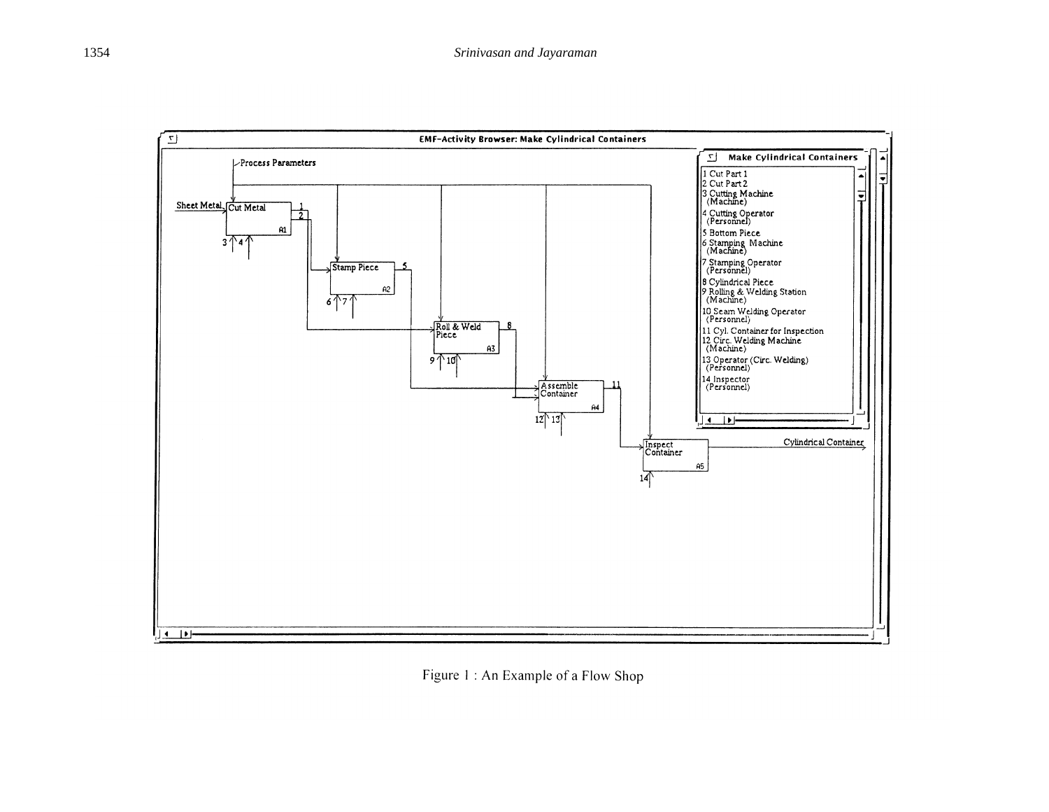

Figure 1: An Example of a Flow Shop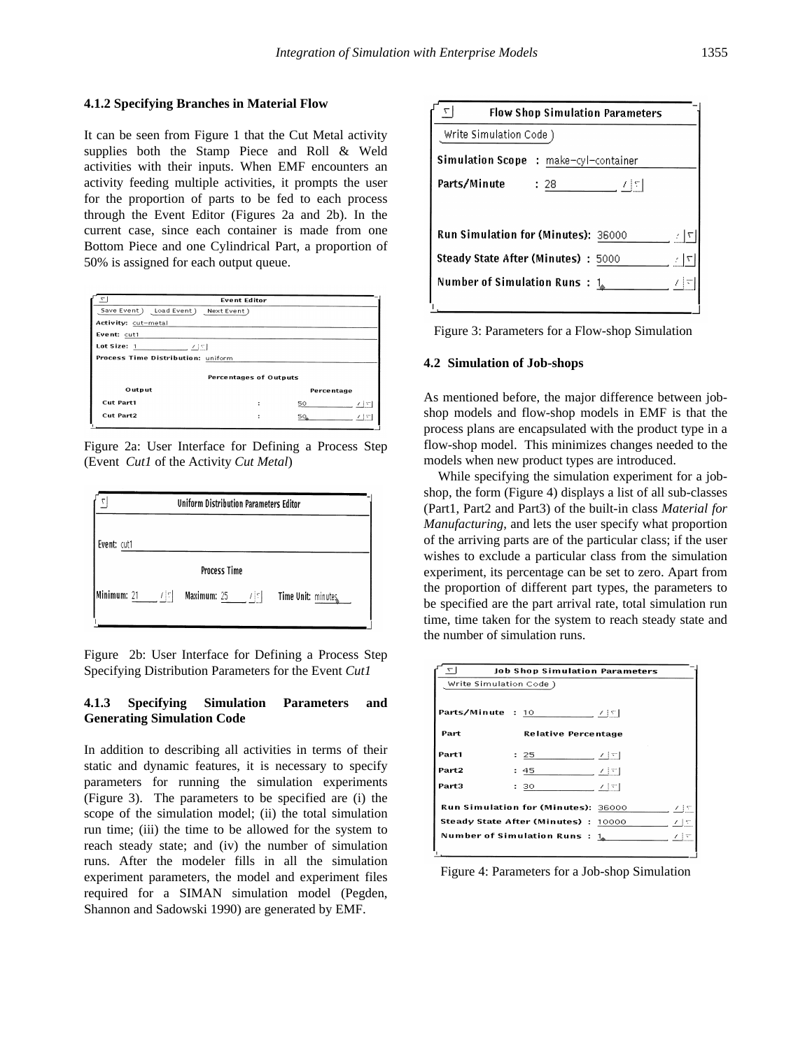### **4.1.2 Specifying Branches in Material Flow**

It can be seen from Figure 1 that the Cut Metal activity supplies both the Stamp Piece and Roll & Weld activities with their inputs. When EMF encounters an activity feeding multiple activities, it prompts the user for the proportion of parts to be fed to each process through the Event Editor (Figures 2a and 2b). In the current case, since each container is made from one Bottom Piece and one Cylindrical Part, a proportion of 50% is assigned for each output queue.

| ۳۱                                 | <b>Event Editor</b> |            |      |  |  |
|------------------------------------|---------------------|------------|------|--|--|
| Save Event) Load Event)            | Next Event)         |            |      |  |  |
| Activity: cut-metal                |                     |            |      |  |  |
| Event: cut1                        |                     |            |      |  |  |
| Lot Size: 1<br>ノ 十字                |                     |            |      |  |  |
| Process Time Distribution: uniform |                     |            |      |  |  |
|                                    |                     |            |      |  |  |
| <b>Percentages of Outputs</b>      |                     |            |      |  |  |
| Output                             |                     | Percentage |      |  |  |
| Cut Part1                          |                     | 50         | 745  |  |  |
| Cut Part2                          | ÷                   | 50         | メキャー |  |  |
|                                    |                     |            |      |  |  |

Figure 2a: User Interface for Defining a Process Step (Event *Cut1* of the Activity *Cut Metal*)

| Uniform Distribution Parameters Editor        |                                     |                    |  |  |
|-----------------------------------------------|-------------------------------------|--------------------|--|--|
| Event: cut1                                   |                                     |                    |  |  |
|                                               | <b>Process Time</b>                 |                    |  |  |
| Minimum: 21 $\angle$ / $\left  \cdot \right $ | <b>Maximum:</b> 25 $\angle  \cdot $ | Time Unit: minutes |  |  |

Figure 2b: User Interface for Defining a Process Step Specifying Distribution Parameters for the Event *Cut1*

### **4.1.3 Specifying Simulation Parameters and Generating Simulation Code**

In addition to describing all activities in terms of their static and dynamic features, it is necessary to specify parameters for running the simulation experiments (Figure 3). The parameters to be specified are (i) the scope of the simulation model; (ii) the total simulation run time; (iii) the time to be allowed for the system to reach steady state; and (iv) the number of simulation runs. After the modeler fills in all the simulation experiment parameters, the model and experiment files required for a SIMAN simulation model (Pegden, Shannon and Sadowski 1990) are generated by EMF.

| <b>Flow Shop Simulation Parameters</b>              |                                              |  |  |  |
|-----------------------------------------------------|----------------------------------------------|--|--|--|
| Write Simulation Code )                             |                                              |  |  |  |
|                                                     | <b>Simulation Scope</b> : make-cyl-container |  |  |  |
| Parts/Minute                                        | $\therefore$ 28<br><u>- 서</u> 의              |  |  |  |
|                                                     |                                              |  |  |  |
| <b>Run Simulation for (Minutes): 36000</b><br>⊤   ج |                                              |  |  |  |
| <b>Steady State After (Minutes)</b> : 5000<br>7   7 |                                              |  |  |  |
| Number of Simulation Runs $: 1_{\infty}$            | 74                                           |  |  |  |
|                                                     |                                              |  |  |  |

Figure 3: Parameters for a Flow-shop Simulation

#### **4.2 Simulation of Job-shops**

As mentioned before, the major difference between jobshop models and flow-shop models in EMF is that the process plans are encapsulated with the product type in a flow-shop model. This minimizes changes needed to the models when new product types are introduced.

While specifying the simulation experiment for a jobshop, the form (Figure 4) displays a list of all sub-classes (Part1, Part2 and Part3) of the built-in class *Material for Manufacturing*, and lets the user specify what proportion of the arriving parts are of the particular class; if the user wishes to exclude a particular class from the simulation experiment, its percentage can be set to zero. Apart from the proportion of different part types, the parameters to be specified are the part arrival rate, total simulation run time, time taken for the system to reach steady state and the number of simulation runs.

| ↸                      | <b>Job Shop Simulation Parameters</b> |        |                 |
|------------------------|---------------------------------------|--------|-----------------|
| Write Simulation Code) |                                       |        |                 |
|                        |                                       |        |                 |
| Parts/Minute : 10      |                                       | 그 [포]  |                 |
| Part                   | <b>Relative Percentage</b>            |        |                 |
| Part1                  | : 25                                  | 기획     |                 |
| Part2                  | : 45                                  | 그 눈이   |                 |
| Part3                  | : 30                                  | ライド マー |                 |
|                        | Run Simulation for (Minutes): 36000   |        | $\chi$   $\psi$ |
|                        | Steady State After (Minutes) : 10000  | ≢上に    |                 |
|                        | Number of Simulation Runs : 1.        |        | アトマ             |
|                        |                                       |        |                 |

Figure 4: Parameters for a Job-shop Simulation